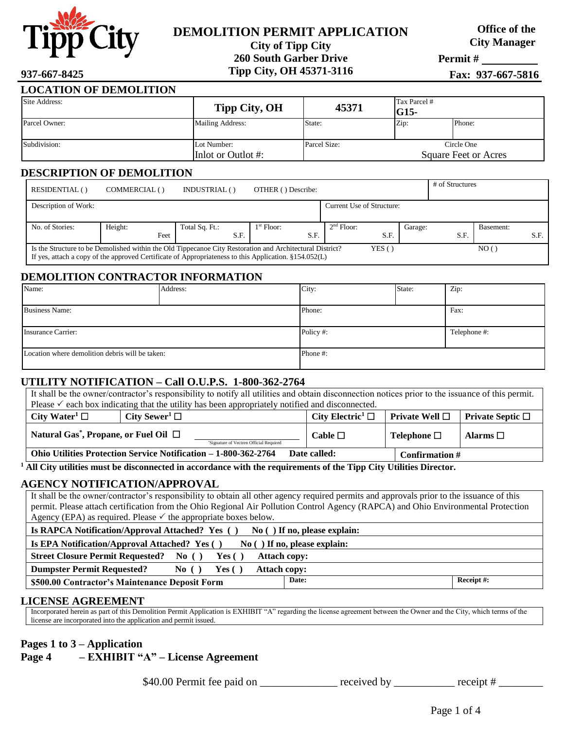

# **DEMOLITION PERMIT APPLICATION**

**City of Tipp City 260 South Garber Drive**

**Office of the City Manager**

**Permit #** 

**Tipp City, OH 45371-3116 937-667-8425 Fax: 937-667-5816**

| <b>LOCATION OF DEMOLITION</b> |                                       |              |                                    |        |
|-------------------------------|---------------------------------------|--------------|------------------------------------|--------|
| Site Address:                 | Tipp City, OH                         | 45371        | Tax Parcel #<br>$IG15-$            |        |
| Parcel Owner:                 | Mailing Address:                      | State:       | Zip:                               | Phone: |
| Subdivision:                  | Lot Number:<br>Inlot or Outlot $\#$ : | Parcel Size: | Circle One<br>Square Feet or Acres |        |

#### **DESCRIPTION OF DEMOLITION**

| RESIDENTIAL()        | COMMERCIAL ()   | INDUSTRIAL()           | OTHER () Describe:   |                           |         | # of Structures |           |      |
|----------------------|-----------------|------------------------|----------------------|---------------------------|---------|-----------------|-----------|------|
| Description of Work: |                 |                        |                      | Current Use of Structure: |         |                 |           |      |
|                      |                 |                        |                      |                           |         |                 |           |      |
| No. of Stories:      | Height:<br>Feet | Total Sq. Ft.:<br>S.F. | $1st$ Floor:<br>S.F. | $2nd$ Floor:<br>S.F.      | Garage: | S.F.            | Basement: | S.F. |

#### **DEMOLITION CONTRACTOR INFORMATION**

| Name:                                           | Address: | City:    | State: | Zip:         |
|-------------------------------------------------|----------|----------|--------|--------------|
|                                                 |          |          |        |              |
| <b>Business Name:</b>                           |          | Phone:   |        | Fax:         |
|                                                 |          |          |        |              |
| <b>Insurance Carrier:</b>                       |          | Policy#: |        | Telephone #: |
|                                                 |          |          |        |              |
| Location where demolition debris will be taken: |          | Phone#:  |        |              |
|                                                 |          |          |        |              |

## **UTILITY NOTIFICATION – Call O.U.P.S. 1-800-362-2764**

| It shall be the owner/contractor's responsibility to notify all utilities and obtain disconnection notices prior to the issuance of this permit.                   |                                |                                   |                     |                                         |
|--------------------------------------------------------------------------------------------------------------------------------------------------------------------|--------------------------------|-----------------------------------|---------------------|-----------------------------------------|
| Please $\checkmark$ each box indicating that the utility has been appropriately notified and disconnected.                                                         |                                |                                   |                     |                                         |
| City Water <sup>1</sup> $\Box$                                                                                                                                     | City Sewer <sup>1</sup> $\Box$ | City Electric <sup>1</sup> $\Box$ | Private Well $\Box$ | <b>Private Septic <math>\Box</math></b> |
| Natural Gas <sup>*</sup> , Propane, or Fuel Oil $\Box$<br>Cable $\Box$<br>Telephone $\Box$<br>Alarms $\Box$<br><sup>*</sup> Signature of Vectren Official Required |                                |                                   |                     |                                         |
| Ohio Utilities Protection Service Notification - 1-800-362-2764<br>Date called:<br><b>Confirmation</b> $#$                                                         |                                |                                   |                     |                                         |

**<sup>1</sup> All City utilities must be disconnected in accordance with the requirements of the Tipp City Utilities Director.**

#### **AGENCY NOTIFICATION/APPROVAL**

It shall be the owner/contractor's responsibility to obtain all other agency required permits and approvals prior to the issuance of this permit. Please attach certification from the Ohio Regional Air Pollution Control Agency (RAPCA) and Ohio Environmental Protection Agency (EPA) as required. Please  $\checkmark$  the appropriate boxes below. Is RAPCA Notification/Approval Attached? Yes ( ) No ( ) If no, please explain: **Is EPA Notification/Approval Attached?** Yes ( ) No ( ) If no, please explain: **Street Closure Permit Requested? No ( ) Yes ( ) Attach copy: Dumpster Permit Requested?** No ( ) Yes ( ) Attach copy: **\$500.00 Contractor's Maintenance Deposit Form Date: Receipt #:**

#### **LICENSE AGREEMENT**

Incorporated herein as part of this Demolition Permit Application is EXHIBIT "A" regarding the license agreement between the Owner and the City, which terms of the license are incorporated into the application and permit issued.

## **Pages 1 to 3 – Application**

**Page 4 – EXHIBIT "A" – License Agreement**

\$40.00 Permit fee paid on \_\_\_\_\_\_\_\_\_\_\_\_\_\_ received by \_\_\_\_\_\_\_\_\_\_\_ receipt # \_\_\_\_\_\_\_\_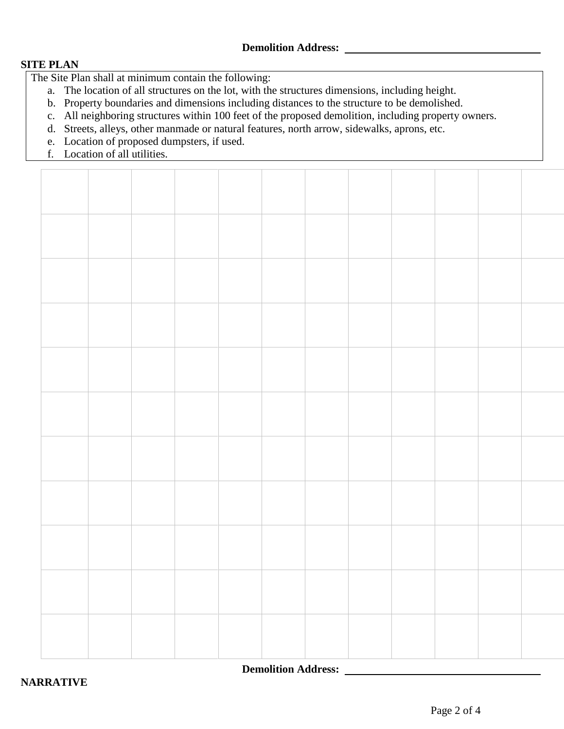#### **SITE PLAN**

The Site Plan shall at minimum contain the following:

- a. The location of all structures on the lot, with the structures dimensions, including height.
- b. Property boundaries and dimensions including distances to the structure to be demolished.
- c. All neighboring structures within 100 feet of the proposed demolition, including property owners.
- d. Streets, alleys, other manmade or natural features, north arrow, sidewalks, aprons, etc.
- e. Location of proposed dumpsters, if used.
- f. Location of all utilities.

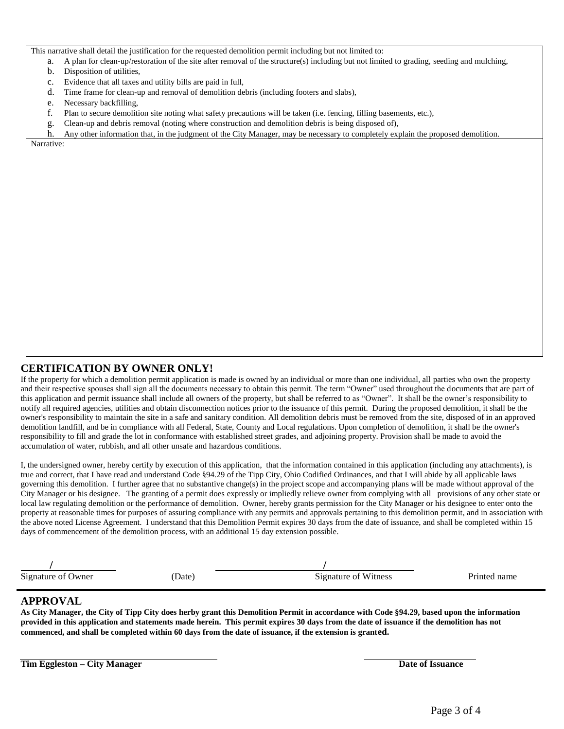This narrative shall detail the justification for the requested demolition permit including but not limited to:

- a. A plan for clean-up/restoration of the site after removal of the structure(s) including but not limited to grading, seeding and mulching,
- b. Disposition of utilities,
- c. Evidence that all taxes and utility bills are paid in full,
- d. Time frame for clean-up and removal of demolition debris (including footers and slabs),
- e. Necessary backfilling,
- f. Plan to secure demolition site noting what safety precautions will be taken (i.e. fencing, filling basements, etc.),
- g. Clean-up and debris removal (noting where construction and demolition debris is being disposed of),
- h. Any other information that, in the judgment of the City Manager, may be necessary to completely explain the proposed demolition.

Narrative:

#### **CERTIFICATION BY OWNER ONLY!**

If the property for which a demolition permit application is made is owned by an individual or more than one individual, all parties who own the property and their respective spouses shall sign all the documents necessary to obtain this permit. The term "Owner" used throughout the documents that are part of this application and permit issuance shall include all owners of the property, but shall be referred to as "Owner". It shall be the owner's responsibility to notify all required agencies, utilities and obtain disconnection notices prior to the issuance of this permit. During the proposed demolition, it shall be the owner's responsibility to maintain the site in a safe and sanitary condition. All demolition debris must be removed from the site, disposed of in an approved demolition landfill, and be in compliance with all Federal, State, County and Local regulations. Upon completion of demolition, it shall be the owner's responsibility to fill and grade the lot in conformance with established street grades, and adjoining property. Provision shall be made to avoid the accumulation of water, rubbish, and all other unsafe and hazardous conditions.

I, the undersigned owner, hereby certify by execution of this application, that the information contained in this application (including any attachments), is true and correct, that I have read and understand Code §94.29 of the Tipp City, Ohio Codified Ordinances, and that I will abide by all applicable laws governing this demolition. I further agree that no substantive change(s) in the project scope and accompanying plans will be made without approval of the City Manager or his designee. The granting of a permit does expressly or impliedly relieve owner from complying with all provisions of any other state or local law regulating demolition or the performance of demolition. Owner, hereby grants permission for the City Manager or his designee to enter onto the property at reasonable times for purposes of assuring compliance with any permits and approvals pertaining to this demolition permit, and in association with the above noted License Agreement. I understand that this Demolition Permit expires 30 days from the date of issuance, and shall be completed within 15 days of commencement of the demolition process, with an additional 15 day extension possible.

| Signature of Owner | Date) | Signature of Witness | Printed name |
|--------------------|-------|----------------------|--------------|

#### **APPROVAL**

**As City Manager, the City of Tipp City does herby grant this Demolition Permit in accordance with Code §94.29, based upon the information provided in this application and statements made herein. This permit expires 30 days from the date of issuance if the demolition has not commenced, and shall be completed within 60 days from the date of issuance, if the extension is granted.**